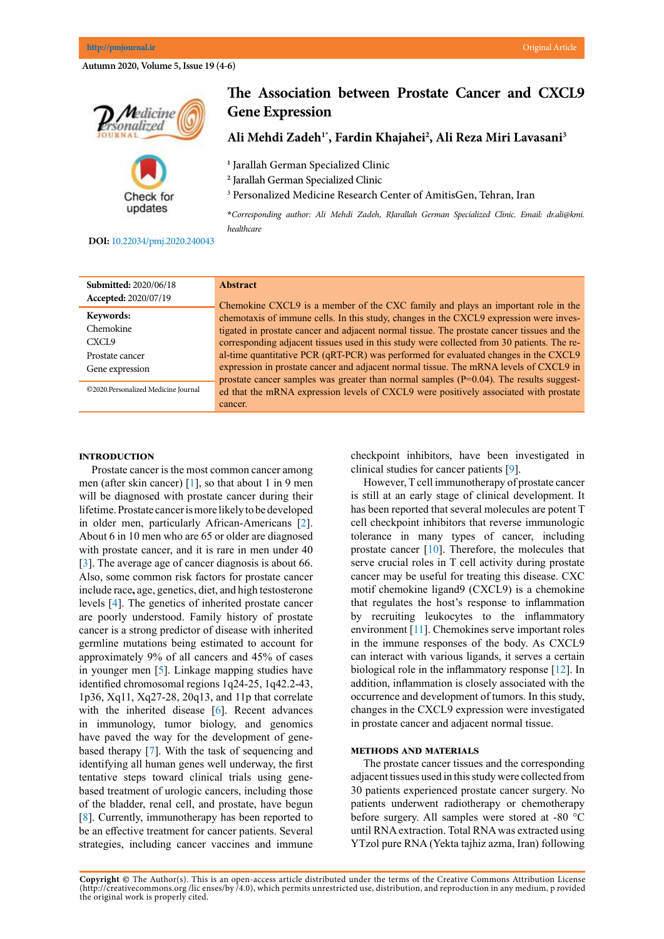**Autumn 2020, Volume 5, Issue 19 (4-6)**



# **The Association between Prostate Cancer and CXCL9 Gene Expression**

**Ali Mehdi Zadeh1\*, Fardin Khajahei2 , Ali Reza Miri Lavasani3**

**1** Jarallah German Specialized Clinic

**2** Jarallah German Specialized Clinic

3 Personalized Medicine Research Center of AmitisGen, Tehran, Iran

**\****Corresponding author: Ali Mehdi Zadeh, RJarallah German Specialized Clinic. Email: dr.ali@kmi. healthcare*

## **DOI:**[10.22034/pmj.2020.240043](http://10.22034/pmj.2020.240043)

| <b>Submitted: 2020/06/18</b>        | <b>Abstract</b>                                                                            |
|-------------------------------------|--------------------------------------------------------------------------------------------|
| Accepted: 2020/07/19                | Chemokine CXCL9 is a member of the CXC family and plays an important role in the           |
| Keywords:                           | chemotaxis of immune cells. In this study, changes in the CXCL9 expression were inves-     |
| Chemokine                           | tigated in prostate cancer and adjacent normal tissue. The prostate cancer tissues and the |
| CXCL <sub>9</sub>                   | corresponding adjacent tissues used in this study were collected from 30 patients. The re- |
| Prostate cancer                     | al-time quantitative PCR (qRT-PCR) was performed for evaluated changes in the CXCL9        |
| Gene expression                     | expression in prostate cancer and adjacent normal tissue. The mRNA levels of CXCL9 in      |
|                                     | prostate cancer samples was greater than normal samples $(P=0.04)$ . The results suggest-  |
| ©2020.Personalized Medicine Journal | ed that the mRNA expression levels of CXCL9 were positively associated with prostate       |
|                                     | cancer.                                                                                    |

### **Introduction**

Prostate cancer is the most common cancer among men (after skin cancer) [[1\]](#page-1-0), so that about 1 in 9 men will be diagnosed with prostate cancer during their lifetime. Prostate cancer is more likely to be developed in older men, particularly African-Americans [[2\]](#page-1-0). About 6 in 10 men who are 65 or older are diagnosed with prostate cancer, and it is rare in men under 40 [\[3](#page-2-0)]. The average age of cancer diagnosis is about 66. Also, some common risk factors for prostate cancer include race**,** age, genetics, diet, and high testosterone levels [[4\]](#page-2-0). The genetics of inherited prostate cancer are poorly understood. Family history of prostate cancer is a strong predictor of disease with inherited germline mutations being estimated to account for approximately 9% of all cancers and 45% of cases in younger men [[5\]](#page-2-0). Linkage mapping studies have identified chromosomal regions 1q24-25, 1q42.2-43, 1p36, Xq11, Xq27-28, 20q13, and 11p that correlate with the inherited disease [\[6](#page-2-0)]. Recent advances in immunology, tumor biology, and genomics have paved the way for the development of genebased therapy [[7\]](#page-2-0). With the task of sequencing and identifying all human genes well underway, the first tentative steps toward clinical trials using genebased treatment of urologic cancers, including those of the bladder, renal cell, and prostate, have begun [\[8](#page-2-0)]. Currently, immunotherapy has been reported to be an effective treatment for cancer patients. Several strategies, including cancer vaccines and immune checkpoint inhibitors, have been investigated in clinical studies for cancer patients [[9\]](#page-2-0).

However, T cell immunotherapy of prostate cancer is still at an early stage of clinical development. It has been reported that several molecules are potent T cell checkpoint inhibitors that reverse immunologic tolerance in many types of cancer, including prostate cancer [[10\]](#page-2-0). Therefore, the molecules that serve crucial roles in T cell activity during prostate cancer may be useful for treating this disease. CXC motif chemokine ligand9 (CXCL9) is a chemokine that regulates the host's response to inflammation by recruiting leukocytes to the inflammatory environment [[11](#page-2-0)]. Chemokines serve important roles in the immune responses of the body. As CXCL9 can interact with various ligands, it serves a certain biological role in the inflammatory response [[12\]](#page-2-0). In addition, inflammation is closely associated with the occurrence and development of tumors. In this study, changes in the CXCL9 expression were investigated in prostate cancer and adjacent normal tissue.

## **Methods and materials**

The prostate cancer tissues and the corresponding adjacent tissues used in this study were collected from 30 patients experienced prostate cancer surgery. No patients underwent radiotherapy or chemotherapy before surgery. All samples were stored at -80 °C until RNA extraction. Total RNA was extracted using [YTzol pure RNA](https://yektatajhiz.com/products/%d8%aa%d8%b1%d8%a7%db%8c%d8%b2%d9%88%d9%84-ytzol/) (Yekta tajhiz azma, Iran) following

**Copyright ©** The Author(s). This is an open-access article distributed under the terms of the Creative Commons Attribution License (http://creativecommons.org /lic enses/by /4.0), which permits unrestricted use, distribution, and reproduction in any medium, p rovided the original work is properly cited.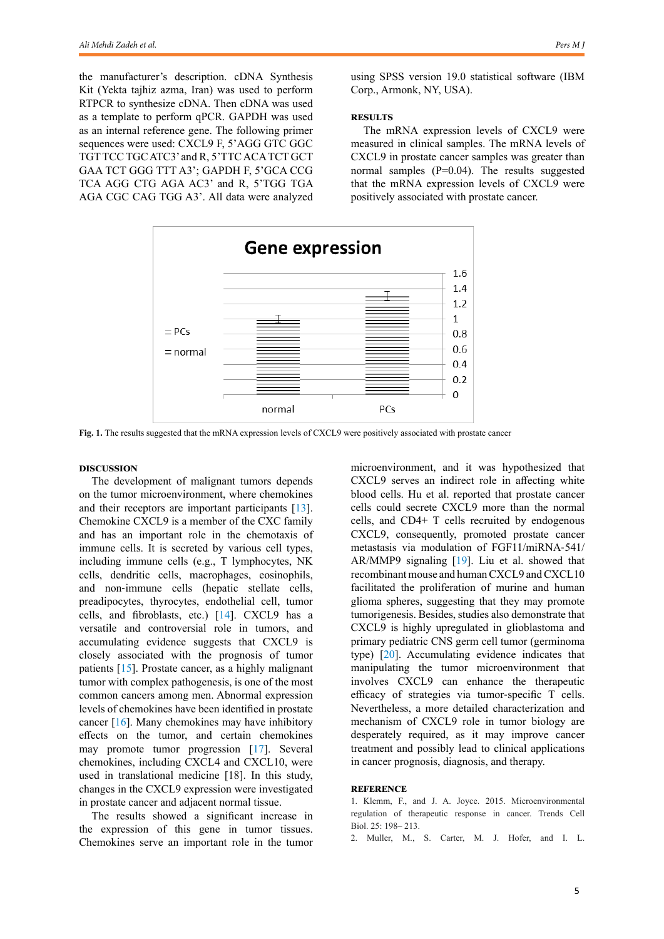<span id="page-1-0"></span>the manufacturer's description. [cDNA Synthesis](https://yektatajhiz.com/products/%da%a9%db%8c%d8%aa-%d8%b3%d9%86%d8%aa%d8%b2-cdna/)  [Kit](https://yektatajhiz.com/products/%da%a9%db%8c%d8%aa-%d8%b3%d9%86%d8%aa%d8%b2-cdna/) (Yekta tajhiz azma, Iran) was used to perform RTPCR to synthesize cDNA. Then cDNA was used as a template to perform qPCR. GAPDH was used as an internal reference gene. The following primer sequences were used: CXCL9 F, 5'AGG GTC GGC TGT TCC TGC ATC3' and R, 5'TTC ACA TCT GCT GAA TCT GGG TTT A3'; GAPDH F, 5'GCA CCG TCA AGG CTG AGA AC3' and R, 5'TGG TGA AGA CGC CAG TGG A3'. All data were analyzed

using SPSS version 19.0 statistical software (IBM Corp., Armonk, NY, USA).

#### **RESULTS**

The mRNA expression levels of CXCL9 were measured in clinical samples. The mRNA levels of CXCL9 in prostate cancer samples was greater than normal samples  $(P=0.04)$ . The results suggested that the mRNA expression levels of CXCL9 were positively associated with prostate cancer.



**Fig. 1.** The results suggested that the mRNA expression levels of CXCL9 were positively associated with prostate cancer

### **Discussion**

The development of malignant tumors depends on the tumor microenvironment, where chemokines and their receptors are important participants [[13\]](#page-2-0). Chemokine CXCL9 is a member of the CXC family and has an important role in the chemotaxis of immune cells. It is secreted by various cell types, including immune cells (e.g., T lymphocytes, NK cells, dendritic cells, macrophages, eosinophils, and non‐immune cells (hepatic stellate cells, preadipocytes, thyrocytes, endothelial cell, tumor cells, and fibroblasts, etc.) [[14](#page-2-0)]. CXCL9 has a versatile and controversial role in tumors, and accumulating evidence suggests that CXCL9 is closely associated with the prognosis of tumor patients [\[15](#page-2-0)]. Prostate cancer, as a highly malignant tumor with complex pathogenesis, is one of the most common cancers among men. Abnormal expression levels of chemokines have been identified in prostate cancer [\[16](#page-2-0)]. Many chemokines may have inhibitory effects on the tumor, and certain chemokines may promote tumor progression [[17](#page-2-0)]. Several chemokines, including CXCL4 and CXCL10, were used in translational medicine [18]. In this study, changes in the CXCL9 expression were investigated in prostate cancer and adjacent normal tissue.

The results showed a significant increase in the expression of this gene in tumor tissues. Chemokines serve an important role in the tumor

microenvironment, and it was hypothesized that CXCL9 serves an indirect role in affecting white blood cells. Hu et al. reported that prostate cancer cells could secrete CXCL9 more than the normal cells, and CD4+ T cells recruited by endogenous CXCL9, consequently, promoted prostate cancer metastasis via modulation of FGF11/miRNA‐541/ AR/MMP9 signaling [[19\]](#page-2-0). Liu et al. showed that recombinant mouse and human CXCL9 and CXCL10 facilitated the proliferation of murine and human glioma spheres, suggesting that they may promote tumorigenesis. Besides, studies also demonstrate that CXCL9 is highly upregulated in glioblastoma and primary pediatric CNS germ cell tumor (germinoma type) [\[20](#page-2-0)]. Accumulating evidence indicates that manipulating the tumor microenvironment that involves CXCL9 can enhance the therapeutic efficacy of strategies via tumor‐specific T cells. Nevertheless, a more detailed characterization and mechanism of CXCL9 role in tumor biology are desperately required, as it may improve cancer treatment and possibly lead to clinical applications in cancer prognosis, diagnosis, and therapy.

#### **Reference**

1. Klemm, F., and J. A. Joyce. 2015. Microenvironmental regulation of therapeutic response in cancer. Trends Cell Biol. 25: 198– 213.

2. Muller, M., S. Carter, M. J. Hofer, and I. L.